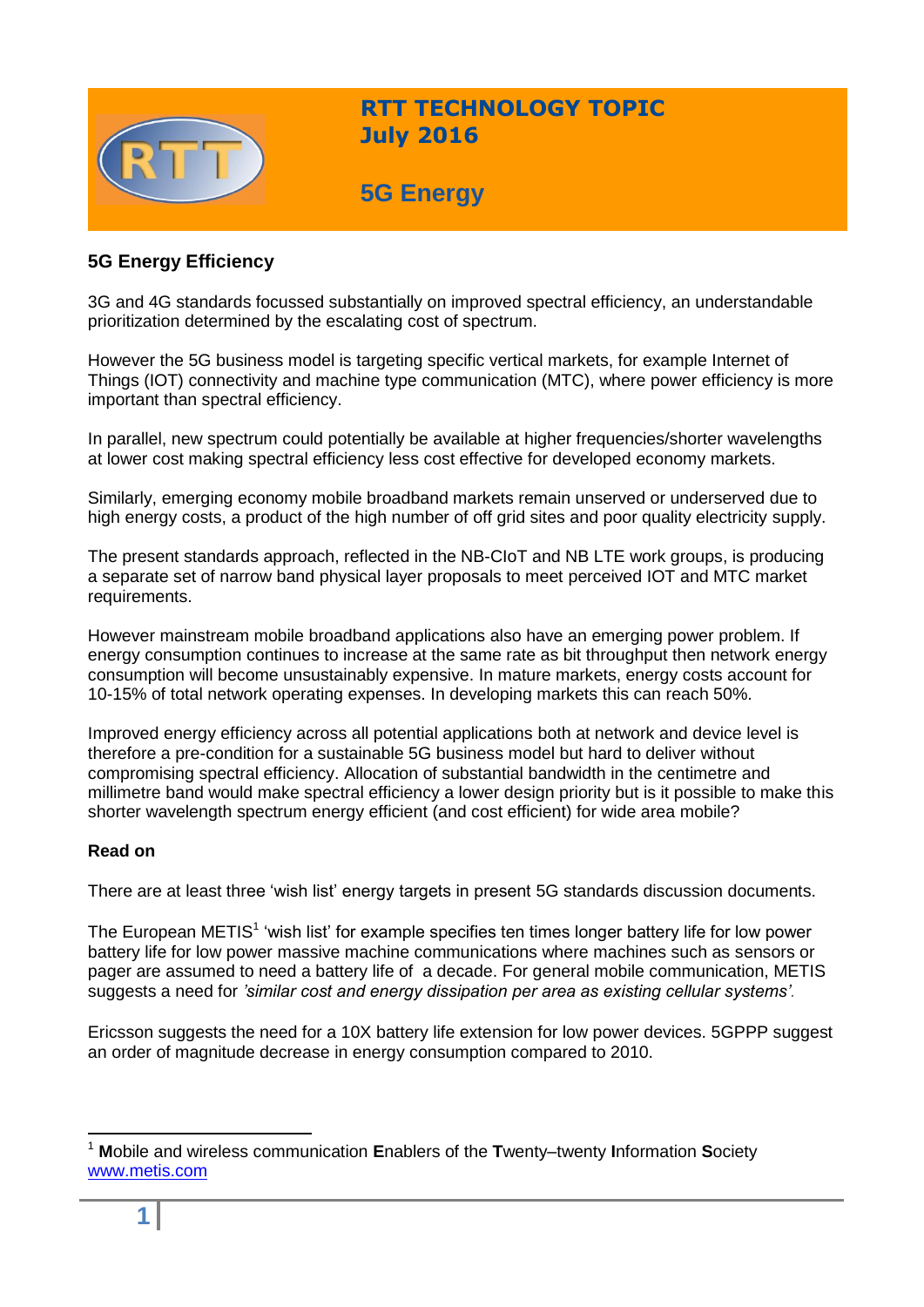

## **RTT TECHNOLOGY TOPIC July 2016**

# **5G Energy**

### **5G Energy Efficiency**

3G and 4G standards focussed substantially on improved spectral efficiency, an understandable prioritization determined by the escalating cost of spectrum.

However the 5G business model is targeting specific vertical markets, for example Internet of Things (IOT) connectivity and machine type communication (MTC), where power efficiency is more important than spectral efficiency.

In parallel, new spectrum could potentially be available at higher frequencies/shorter wavelengths at lower cost making spectral efficiency less cost effective for developed economy markets.

Similarly, emerging economy mobile broadband markets remain unserved or underserved due to high energy costs, a product of the high number of off grid sites and poor quality electricity supply.

The present standards approach, reflected in the NB-CIoT and NB LTE work groups, is producing a separate set of narrow band physical layer proposals to meet perceived IOT and MTC market requirements.

However mainstream mobile broadband applications also have an emerging power problem. If energy consumption continues to increase at the same rate as bit throughput then network energy consumption will become unsustainably expensive. In mature markets, energy costs account for 10-15% of total network operating expenses. In developing markets this can reach 50%.

Improved energy efficiency across all potential applications both at network and device level is therefore a pre-condition for a sustainable 5G business model but hard to deliver without compromising spectral efficiency. Allocation of substantial bandwidth in the centimetre and millimetre band would make spectral efficiency a lower design priority but is it possible to make this shorter wavelength spectrum energy efficient (and cost efficient) for wide area mobile?

#### **Read on**

There are at least three 'wish list' energy targets in present 5G standards discussion documents.

The European METIS<sup>1</sup> 'wish list' for example specifies ten times longer battery life for low power battery life for low power massive machine communications where machines such as sensors or pager are assumed to need a battery life of a decade. For general mobile communication, METIS suggests a need for *'similar cost and energy dissipation per area as existing cellular systems'.*

Ericsson suggests the need for a 10X battery life extension for low power devices. 5GPPP suggest an order of magnitude decrease in energy consumption compared to 2010.

<sup>1</sup> **M**obile and wireless communication **E**nablers of the **T**wenty–twenty **I**nformation **S**ociety [www.metis.com](http://www.metis.com/)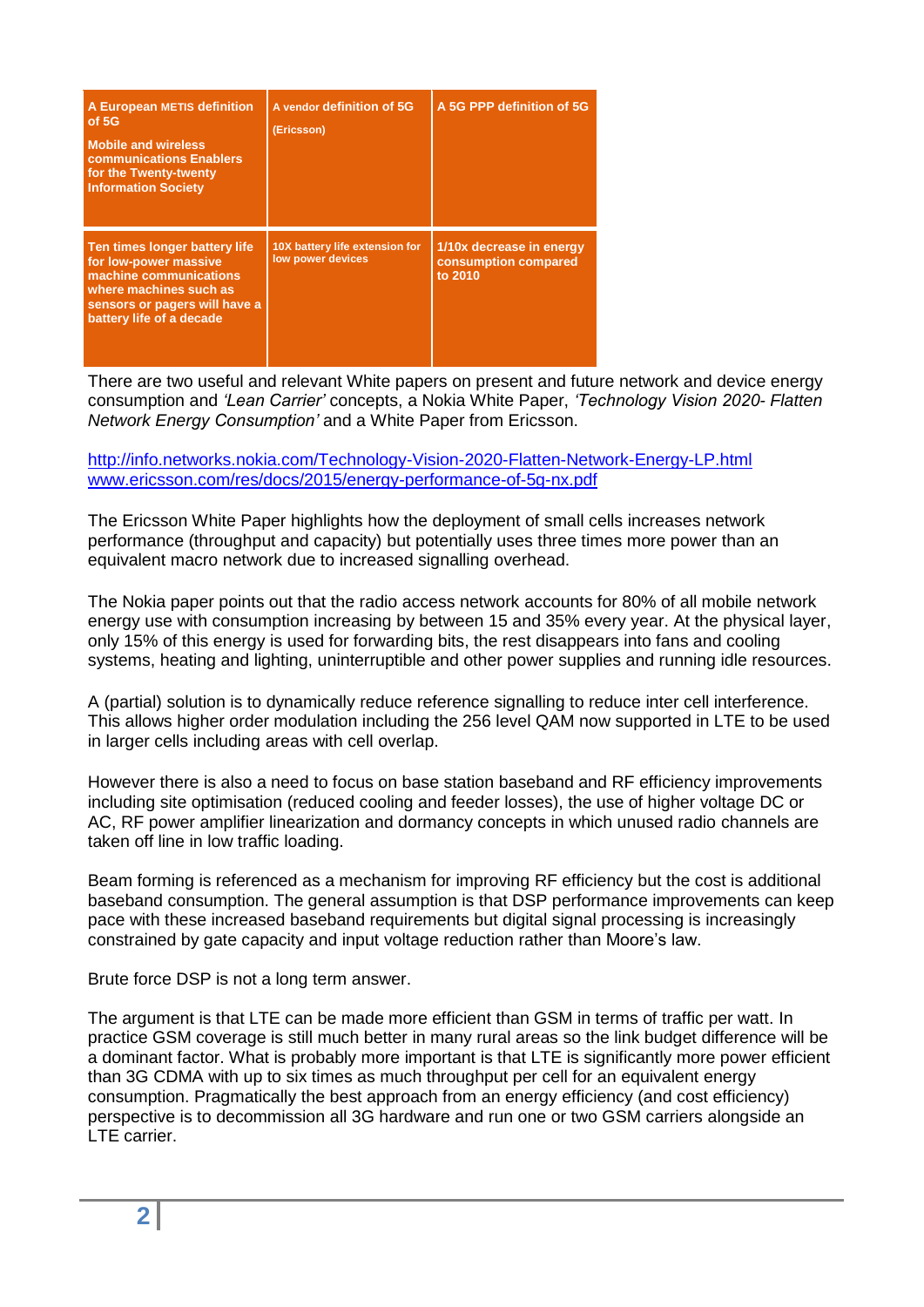| A European METIS definition<br>of 5G<br><b>Mobile and wireless</b><br><b>communications Enablers</b><br>for the Twenty-twenty<br><b>Information Society</b>             | A vendor definition of 5G<br>(Ericsson)             | A 5G PPP definition of 5G                                   |
|-------------------------------------------------------------------------------------------------------------------------------------------------------------------------|-----------------------------------------------------|-------------------------------------------------------------|
| Ten times longer battery life<br>for low-power massive<br>machine communications<br>where machines such as<br>sensors or pagers will have a<br>battery life of a decade | 10X battery life extension for<br>low power devices | 1/10x decrease in energy<br>consumption compared<br>to 2010 |

There are two useful and relevant White papers on present and future network and device energy consumption and *'Lean Carrier'* concepts, a Nokia White Paper, *'Technology Vision 2020- Flatten Network Energy Consumption'* and a White Paper from Ericsson.

<http://info.networks.nokia.com/Technology-Vision-2020-Flatten-Network-Energy-LP.html> [www.ericsson.com/res/docs/2015/energy-performance-of-5g-nx.pdf](http://www.ericsson.com/res/docs/2015/energy-performance-of-5g-nx.pdf)

The Ericsson White Paper highlights how the deployment of small cells increases network performance (throughput and capacity) but potentially uses three times more power than an equivalent macro network due to increased signalling overhead.

The Nokia paper points out that the radio access network accounts for 80% of all mobile network energy use with consumption increasing by between 15 and 35% every year. At the physical layer, only 15% of this energy is used for forwarding bits, the rest disappears into fans and cooling systems, heating and lighting, uninterruptible and other power supplies and running idle resources.

A (partial) solution is to dynamically reduce reference signalling to reduce inter cell interference. This allows higher order modulation including the 256 level QAM now supported in LTE to be used in larger cells including areas with cell overlap.

However there is also a need to focus on base station baseband and RF efficiency improvements including site optimisation (reduced cooling and feeder losses), the use of higher voltage DC or AC, RF power amplifier linearization and dormancy concepts in which unused radio channels are taken off line in low traffic loading.

Beam forming is referenced as a mechanism for improving RF efficiency but the cost is additional baseband consumption. The general assumption is that DSP performance improvements can keep pace with these increased baseband requirements but digital signal processing is increasingly constrained by gate capacity and input voltage reduction rather than Moore's law.

Brute force DSP is not a long term answer.

The argument is that LTE can be made more efficient than GSM in terms of traffic per watt. In practice GSM coverage is still much better in many rural areas so the link budget difference will be a dominant factor. What is probably more important is that LTE is significantly more power efficient than 3G CDMA with up to six times as much throughput per cell for an equivalent energy consumption. Pragmatically the best approach from an energy efficiency (and cost efficiency) perspective is to decommission all 3G hardware and run one or two GSM carriers alongside an LTE carrier.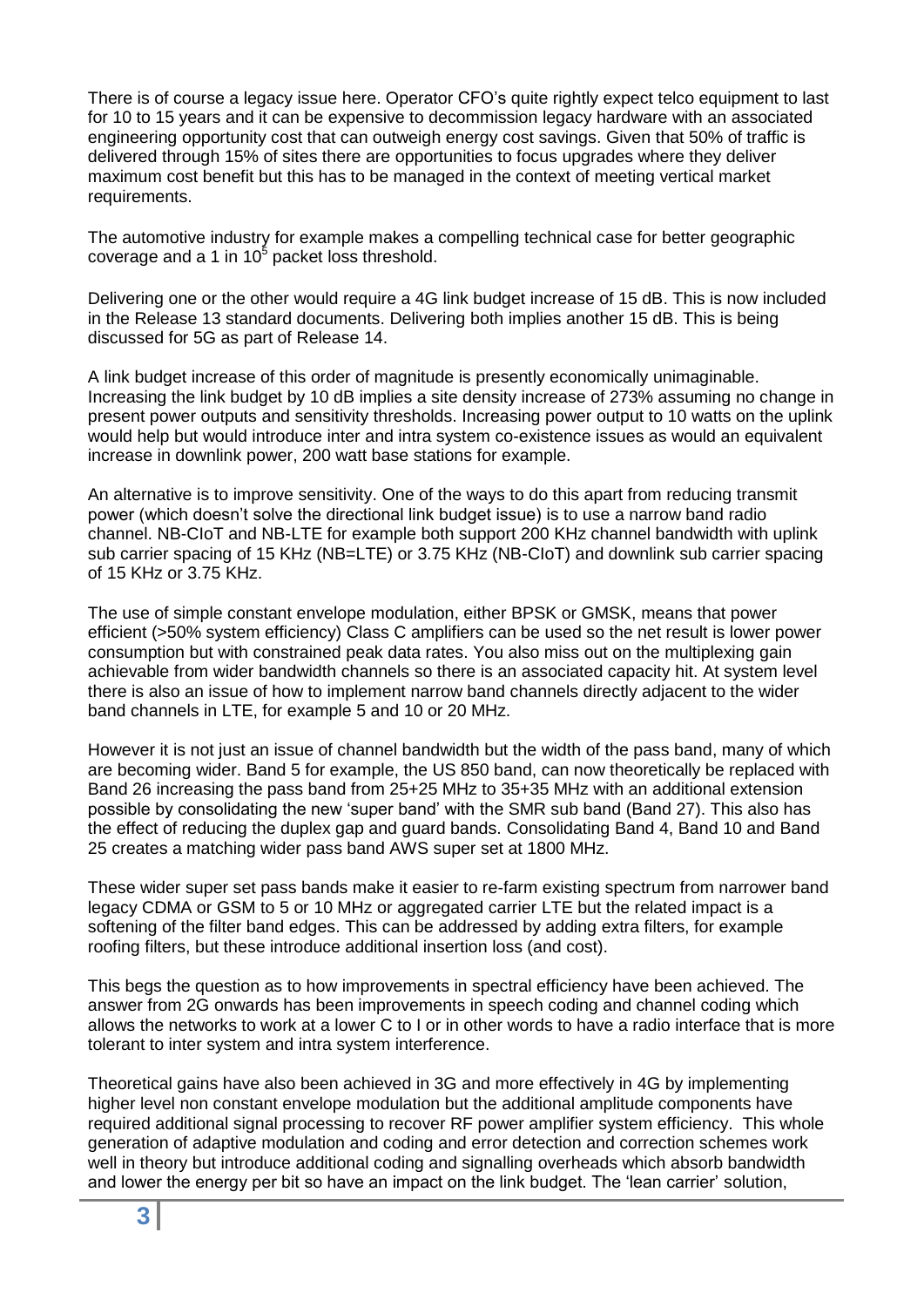There is of course a legacy issue here. Operator CFO's quite rightly expect telco equipment to last for 10 to 15 years and it can be expensive to decommission legacy hardware with an associated engineering opportunity cost that can outweigh energy cost savings. Given that 50% of traffic is delivered through 15% of sites there are opportunities to focus upgrades where they deliver maximum cost benefit but this has to be managed in the context of meeting vertical market requirements.

The automotive industry for example makes a compelling technical case for better geographic coverage and a 1 in 10 $<sup>5</sup>$  packet loss threshold.</sup>

Delivering one or the other would require a 4G link budget increase of 15 dB. This is now included in the Release 13 standard documents. Delivering both implies another 15 dB. This is being discussed for 5G as part of Release 14.

A link budget increase of this order of magnitude is presently economically unimaginable. Increasing the link budget by 10 dB implies a site density increase of 273% assuming no change in present power outputs and sensitivity thresholds. Increasing power output to 10 watts on the uplink would help but would introduce inter and intra system co-existence issues as would an equivalent increase in downlink power, 200 watt base stations for example.

An alternative is to improve sensitivity. One of the ways to do this apart from reducing transmit power (which doesn't solve the directional link budget issue) is to use a narrow band radio channel. NB-CIoT and NB-LTE for example both support 200 KHz channel bandwidth with uplink sub carrier spacing of 15 KHz (NB=LTE) or 3.75 KHz (NB-CIoT) and downlink sub carrier spacing of 15 KHz or 3.75 KHz.

The use of simple constant envelope modulation, either BPSK or GMSK, means that power efficient (>50% system efficiency) Class C amplifiers can be used so the net result is lower power consumption but with constrained peak data rates. You also miss out on the multiplexing gain achievable from wider bandwidth channels so there is an associated capacity hit. At system level there is also an issue of how to implement narrow band channels directly adjacent to the wider band channels in LTE, for example 5 and 10 or 20 MHz.

However it is not just an issue of channel bandwidth but the width of the pass band, many of which are becoming wider. Band 5 for example, the US 850 band, can now theoretically be replaced with Band 26 increasing the pass band from 25+25 MHz to 35+35 MHz with an additional extension possible by consolidating the new 'super band' with the SMR sub band (Band 27). This also has the effect of reducing the duplex gap and guard bands. Consolidating Band 4, Band 10 and Band 25 creates a matching wider pass band AWS super set at 1800 MHz.

These wider super set pass bands make it easier to re-farm existing spectrum from narrower band legacy CDMA or GSM to 5 or 10 MHz or aggregated carrier LTE but the related impact is a softening of the filter band edges. This can be addressed by adding extra filters, for example roofing filters, but these introduce additional insertion loss (and cost).

This begs the question as to how improvements in spectral efficiency have been achieved. The answer from 2G onwards has been improvements in speech coding and channel coding which allows the networks to work at a lower C to I or in other words to have a radio interface that is more tolerant to inter system and intra system interference.

Theoretical gains have also been achieved in 3G and more effectively in 4G by implementing higher level non constant envelope modulation but the additional amplitude components have required additional signal processing to recover RF power amplifier system efficiency. This whole generation of adaptive modulation and coding and error detection and correction schemes work well in theory but introduce additional coding and signalling overheads which absorb bandwidth and lower the energy per bit so have an impact on the link budget. The 'lean carrier' solution,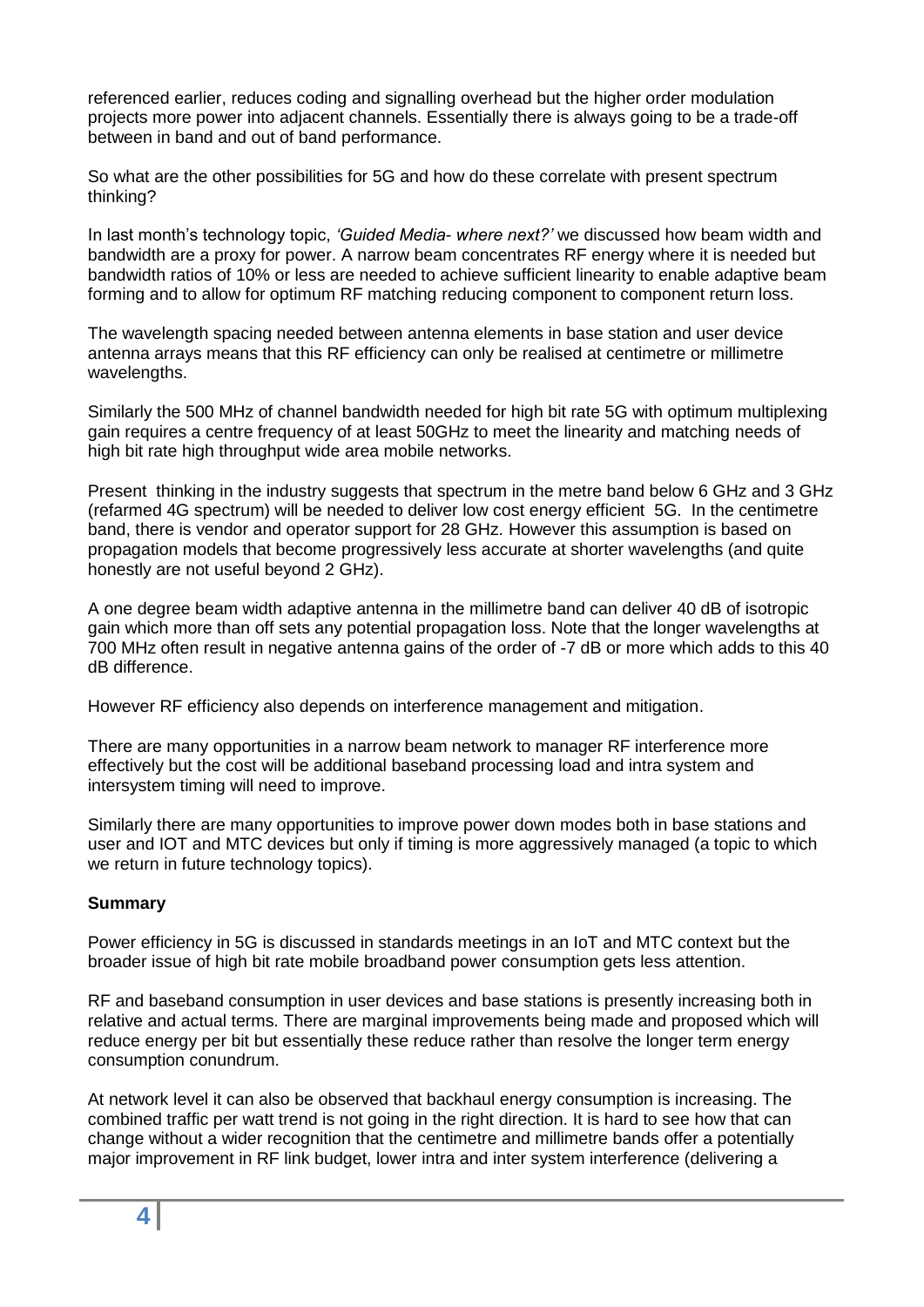referenced earlier, reduces coding and signalling overhead but the higher order modulation projects more power into adjacent channels. Essentially there is always going to be a trade-off between in band and out of band performance.

So what are the other possibilities for 5G and how do these correlate with present spectrum thinking?

In last month's technology topic, *'Guided Media- where next?'* we discussed how beam width and bandwidth are a proxy for power. A narrow beam concentrates RF energy where it is needed but bandwidth ratios of 10% or less are needed to achieve sufficient linearity to enable adaptive beam forming and to allow for optimum RF matching reducing component to component return loss.

The wavelength spacing needed between antenna elements in base station and user device antenna arrays means that this RF efficiency can only be realised at centimetre or millimetre wavelengths.

Similarly the 500 MHz of channel bandwidth needed for high bit rate 5G with optimum multiplexing gain requires a centre frequency of at least 50GHz to meet the linearity and matching needs of high bit rate high throughput wide area mobile networks.

Present thinking in the industry suggests that spectrum in the metre band below 6 GHz and 3 GHz (refarmed 4G spectrum) will be needed to deliver low cost energy efficient 5G. In the centimetre band, there is vendor and operator support for 28 GHz. However this assumption is based on propagation models that become progressively less accurate at shorter wavelengths (and quite honestly are not useful beyond 2 GHz).

A one degree beam width adaptive antenna in the millimetre band can deliver 40 dB of isotropic gain which more than off sets any potential propagation loss. Note that the longer wavelengths at 700 MHz often result in negative antenna gains of the order of -7 dB or more which adds to this 40 dB difference.

However RF efficiency also depends on interference management and mitigation.

There are many opportunities in a narrow beam network to manager RF interference more effectively but the cost will be additional baseband processing load and intra system and intersystem timing will need to improve.

Similarly there are many opportunities to improve power down modes both in base stations and user and IOT and MTC devices but only if timing is more aggressively managed (a topic to which we return in future technology topics).

#### **Summary**

Power efficiency in 5G is discussed in standards meetings in an IoT and MTC context but the broader issue of high bit rate mobile broadband power consumption gets less attention.

RF and baseband consumption in user devices and base stations is presently increasing both in relative and actual terms. There are marginal improvements being made and proposed which will reduce energy per bit but essentially these reduce rather than resolve the longer term energy consumption conundrum.

At network level it can also be observed that backhaul energy consumption is increasing. The combined traffic per watt trend is not going in the right direction. It is hard to see how that can change without a wider recognition that the centimetre and millimetre bands offer a potentially major improvement in RF link budget, lower intra and inter system interference (delivering a